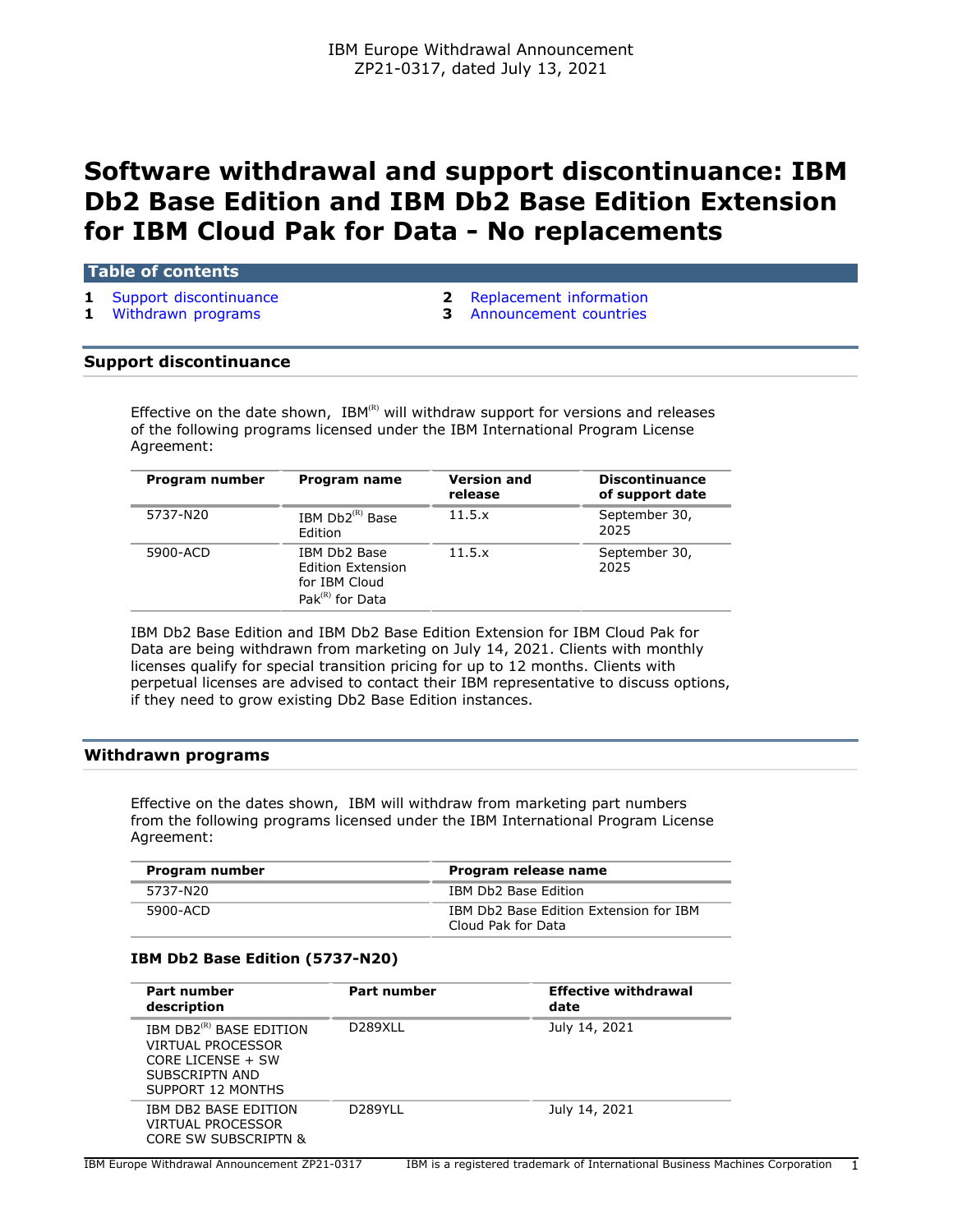# **Software withdrawal and support discontinuance: IBM Db2 Base Edition and IBM Db2 Base Edition Extension for IBM Cloud Pak for Data - No replacements**

## **Table of contents**

- 
- 
- **1** [Support discontinuance](#page-0-0) **2** [Replacement information](#page-1-0)
- **1** [Withdrawn programs](#page-0-1) **3** [Announcement countries](#page-2-0)

#### <span id="page-0-0"></span>**Support discontinuance**

Effective on the date shown,  $IBM^{(R)}$  will withdraw support for versions and releases of the following programs licensed under the IBM International Program License Agreement:

| Program number | Program name                                                                                | <b>Version and</b><br>release | <b>Discontinuance</b><br>of support date |
|----------------|---------------------------------------------------------------------------------------------|-------------------------------|------------------------------------------|
| 5737-N20       | IBM $Db2^{(R)}$ Base<br>Edition                                                             | 11.5.x                        | September 30,<br>2025                    |
| 5900-ACD       | IBM Db2 Base<br><b>Edition Extension</b><br>for IBM Cloud<br>Pak ${}^{\text{(R)}}$ for Data | 11.5.x                        | September 30,<br>2025                    |

IBM Db2 Base Edition and IBM Db2 Base Edition Extension for IBM Cloud Pak for Data are being withdrawn from marketing on July 14, 2021. Clients with monthly licenses qualify for special transition pricing for up to 12 months. Clients with perpetual licenses are advised to contact their IBM representative to discuss options, if they need to grow existing Db2 Base Edition instances.

## <span id="page-0-1"></span>**Withdrawn programs**

Effective on the dates shown, IBM will withdraw from marketing part numbers from the following programs licensed under the IBM International Program License Agreement:

| Program number | Program release name                                         |
|----------------|--------------------------------------------------------------|
| 5737-N20       | IBM Db2 Base Edition                                         |
| 5900-ACD       | IBM Db2 Base Edition Extension for IBM<br>Cloud Pak for Data |

## **IBM Db2 Base Edition (5737-N20)**

| Part number<br>description                                                                                             | Part number          | <b>Effective withdrawal</b><br>date |
|------------------------------------------------------------------------------------------------------------------------|----------------------|-------------------------------------|
| IBM DB2 <sup>(R)</sup> BASE EDITION<br>VIRTUAL PROCESSOR<br>CORE LICENSE $+$ SW<br>SUBSCRIPTN AND<br>SUPPORT 12 MONTHS | D <sub>289</sub> XLL | July 14, 2021                       |
| IBM DB2 BASE EDITION<br>VIRTUAL PROCESSOR<br>CORE SW SUBSCRIPTN &                                                      | D289YLL              | July 14, 2021                       |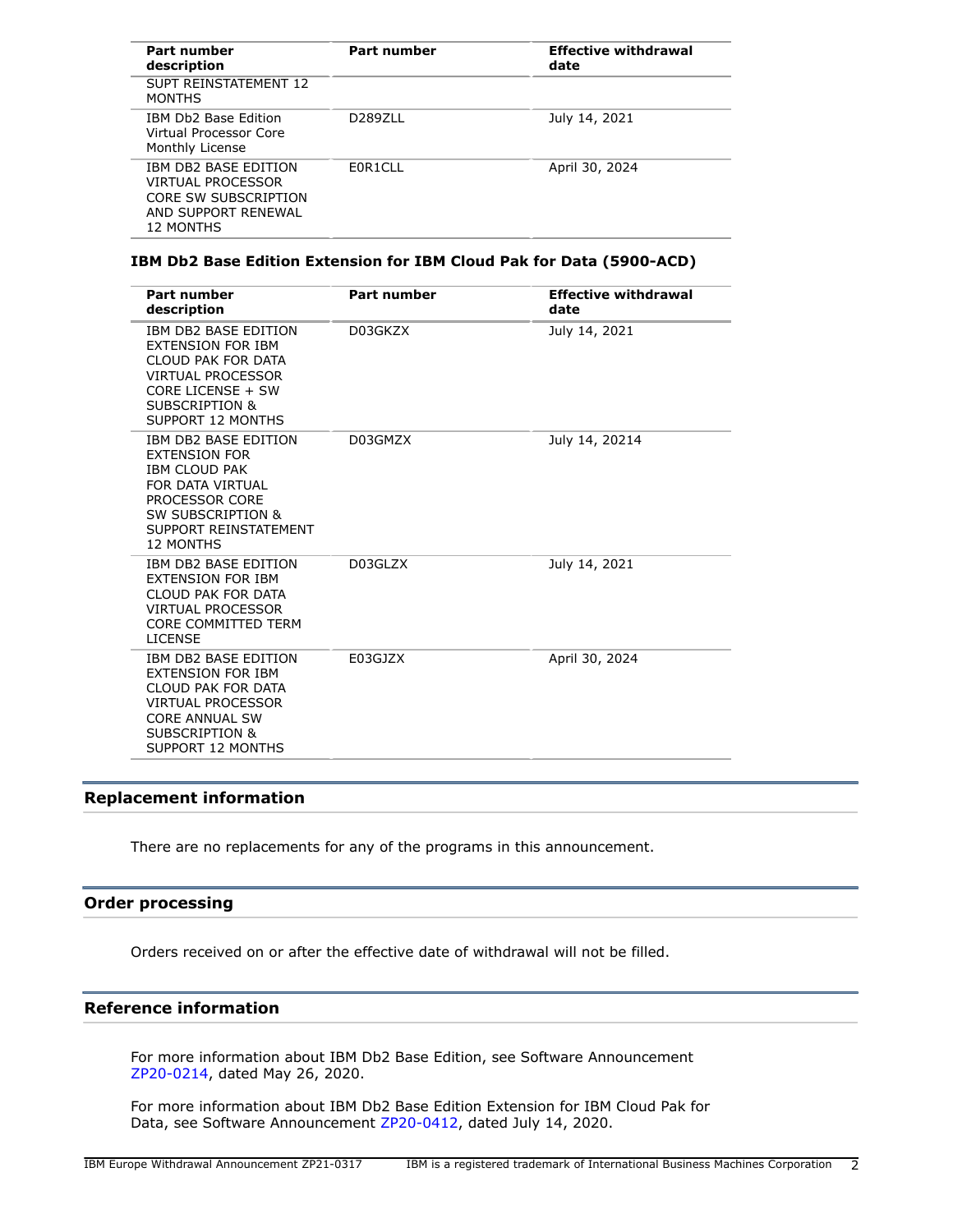| Part number<br>description                                                                                   | Part number | <b>Effective withdrawal</b><br>date |
|--------------------------------------------------------------------------------------------------------------|-------------|-------------------------------------|
| <b>SUPT REINSTATEMENT 12</b><br><b>MONTHS</b>                                                                |             |                                     |
| IBM Db2 Base Edition<br>Virtual Processor Core<br>Monthly License                                            | D2897LL     | July 14, 2021                       |
| <b>IBM DB2 BASE EDITION</b><br>VIRTUAL PROCESSOR<br>CORE SW SUBSCRIPTION<br>AND SUPPORT RENEWAL<br>12 MONTHS | F0R1CLL     | April 30, 2024                      |

## **IBM Db2 Base Edition Extension for IBM Cloud Pak for Data (5900-ACD)**

| <b>Part number</b><br>description                                                                                                                                                       | <b>Part number</b> | <b>Effective withdrawal</b><br>date |
|-----------------------------------------------------------------------------------------------------------------------------------------------------------------------------------------|--------------------|-------------------------------------|
| IBM DB2 BASE EDITION<br><b>EXTENSION FOR IBM</b><br>CLOUD PAK FOR DATA<br><b>VIRTUAL PROCESSOR</b><br>CORE LICENSE + SW<br><b>SUBSCRIPTION &amp;</b><br>SUPPORT 12 MONTHS               | D03GKZX            | July 14, 2021                       |
| IBM DB2 BASE EDITION<br><b>EXTENSION FOR</b><br><b>IBM CLOUD PAK</b><br>FOR DATA VIRTUAL<br>PROCESSOR CORE<br><b>SW SUBSCRIPTION &amp;</b><br>SUPPORT REINSTATEMENT<br><b>12 MONTHS</b> | D03GMZX            | July 14, 20214                      |
| IBM DB2 BASE EDITION<br><b>EXTENSION FOR IBM</b><br>CLOUD PAK FOR DATA<br><b>VIRTUAL PROCESSOR</b><br><b>CORE COMMITTED TERM</b><br><b>LICENSE</b>                                      | D03GLZX            | July 14, 2021                       |
| IBM DB2 BASE EDITION<br><b>EXTENSION FOR IBM</b><br>CLOUD PAK FOR DATA<br><b>VIRTUAL PROCESSOR</b><br><b>CORE ANNUAL SW</b><br>SUBSCRIPTION &<br>SUPPORT 12 MONTHS                      | E03GJZX            | April 30, 2024                      |

## <span id="page-1-0"></span>**Replacement information**

There are no replacements for any of the programs in this announcement.

## **Order processing**

Orders received on or after the effective date of withdrawal will not be filled.

## **Reference information**

For more information about IBM Db2 Base Edition, see Software Announcement [ZP20-0214,](http://www.ibm.com/common/ssi/cgi-bin/ssialias?infotype=an&subtype=ca&appname=gpateam&supplier=877&letternum=ENUSZP20-0214) dated May 26, 2020.

For more information about IBM Db2 Base Edition Extension for IBM Cloud Pak for Data, see Software Announcement [ZP20-0412](http://www.ibm.com/common/ssi/cgi-bin/ssialias?infotype=an&subtype=ca&appname=gpateam&supplier=877&letternum=ENUSZP20-0412), dated July 14, 2020.